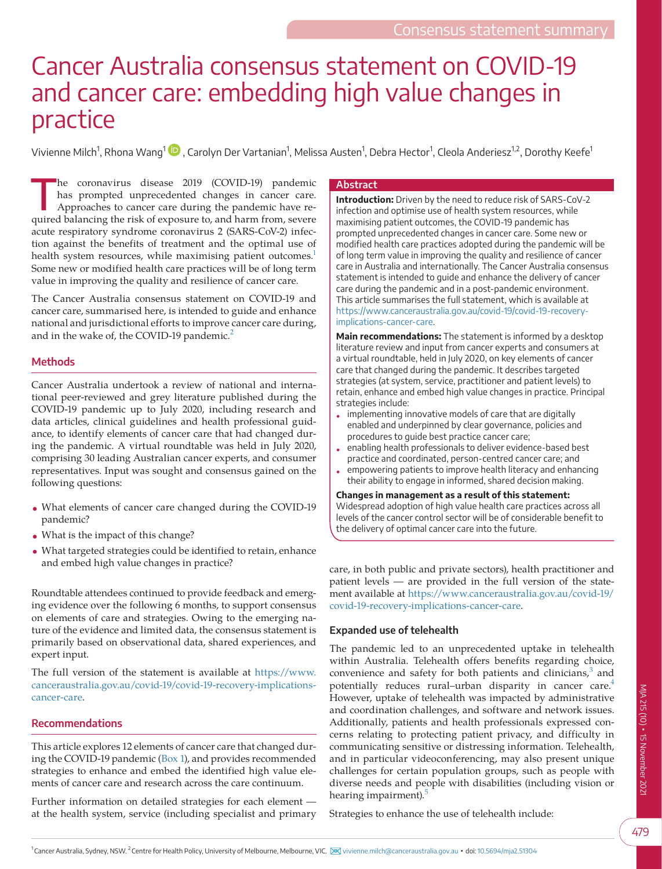# Cancer Australia consensus statement on COVID-19 and cancer care: embedding high value changes in practice

Vivienne Milch<sup>[1](https://orcid.org/0000-0003-4056-6087)</sup>, Rhona Wang<sup>1</sup> ID , Carolyn Der Vartanian<sup>1</sup>, Melissa Austen<sup>1</sup>, Debra Hector<sup>1</sup>, Cleola Anderiesz<sup>1,2</sup>, Dorothy Keefe<sup>1</sup>

The coronavirus disease 2019 (COVID-19) pandemic<br>has prompted unprecedented changes in cancer care.<br>Approaches to cancer care during the pandemic have rehas prompted unprecedented changes in cancer care. Approaches to cancer care during the pandemic have required balancing the risk of exposure to, and harm from, severe acute respiratory syndrome coronavirus 2 (SARS-CoV-2) infection against the benefits of treatment and the optimal use of health system resources, while maximising patient outcomes.<sup>1</sup> Some new or modified health care practices will be of long term value in improving the quality and resilience of cancer care.

The Cancer Australia consensus statement on COVID-19 and cancer care, summarised here, is intended to guide and enhance national and jurisdictional efforts to improve cancer care during, and in the wake of, the COVID-19 pandemic.<sup>[2](#page-4-1)</sup>

## **Methods**

Cancer Australia undertook a review of national and international peer-reviewed and grey literature published during the COVID-19 pandemic up to July 2020, including research and data articles, clinical guidelines and health professional guidance, to identify elements of cancer care that had changed during the pandemic. A virtual roundtable was held in July 2020, comprising 30 leading Australian cancer experts, and consumer representatives. Input was sought and consensus gained on the following questions:

- What elements of cancer care changed during the COVID-19 pandemic?
- What is the impact of this change?
- What targeted strategies could be identified to retain, enhance and embed high value changes in practice?

Roundtable attendees continued to provide feedback and emerging evidence over the following 6 months, to support consensus on elements of care and strategies. Owing to the emerging nature of the evidence and limited data, the consensus statement is primarily based on observational data, shared experiences, and expert input.

The full version of the statement is available at [https://www.](https://www.canceraustralia.gov.au/covid-19/covid-19-recovery-implications-cancer-care) [canceraustralia.gov.au/covid-19/covid-19-recovery-implications](https://www.canceraustralia.gov.au/covid-19/covid-19-recovery-implications-cancer-care)[cancer-care.](https://www.canceraustralia.gov.au/covid-19/covid-19-recovery-implications-cancer-care)

## **Recommendations**

This article explores 12 elements of cancer care that changed during the COVID-19 pandemic [\(Box 1\)](#page-1-0), and provides recommended strategies to enhance and embed the identified high value elements of cancer care and research across the care continuum.

Further information on detailed strategies for each element at the health system, service (including specialist and primary

#### **Abstract**

**Introduction:** Driven by the need to reduce risk of SARS-CoV-2 infection and optimise use of health system resources, while maximising patient outcomes, the COVID-19 pandemic has prompted unprecedented changes in cancer care. Some new or modified health care practices adopted during the pandemic will be of long term value in improving the quality and resilience of cancer care in Australia and internationally. The Cancer Australia consensus statement is intended to guide and enhance the delivery of cancer care during the pandemic and in a post-pandemic environment. This article summarises the full statement, which is available at [https://www.canceraustralia.gov.au/covid-19/covid-19-recovery](https://www.canceraustralia.gov.au/covid-19/covid-19-recovery-implications-cancer-care)[implications-cancer-care.](https://www.canceraustralia.gov.au/covid-19/covid-19-recovery-implications-cancer-care)

**Main recommendations:** The statement is informed by a desktop literature review and input from cancer experts and consumers at a virtual roundtable, held in July 2020, on key elements of cancer care that changed during the pandemic. It describes targeted strategies (at system, service, practitioner and patient levels) to retain, enhance and embed high value changes in practice. Principal strategies include:

- implementing innovative models of care that are digitally enabled and underpinned by clear governance, policies and procedures to guide best practice cancer care;
- enabling health professionals to deliver evidence-based best practice and coordinated, person-centred cancer care; and
- empowering patients to improve health literacy and enhancing their ability to engage in informed, shared decision making.

#### **Changes in management as a result of this statement:** Widespread adoption of high value health care practices across all

levels of the cancer control sector will be of considerable benefit to the delivery of optimal cancer care into the future.

care, in both public and private sectors), health practitioner and patient levels — are provided in the full version of the statement available at [https://www.canceraustralia.gov.au/covid-19/](https://www.canceraustralia.gov.au/covid-19/covid-19-recovery-implications-cancer-care) [covid-19-recovery-implications-cancer-care](https://www.canceraustralia.gov.au/covid-19/covid-19-recovery-implications-cancer-care).

## **Expanded use of telehealth**

The pandemic led to an unprecedented uptake in telehealth within Australia. Telehealth offers benefits regarding choice, convenience and safety for both patients and clinicians, $3$  and potentially reduces rural–urban disparity in cancer care.<sup>[4](#page-4-3)</sup> However, uptake of telehealth was impacted by administrative and coordination challenges, and software and network issues. Additionally, patients and health professionals expressed concerns relating to protecting patient privacy, and difficulty in communicating sensitive or distressing information. Telehealth, and in particular videoconferencing, may also present unique challenges for certain population groups, such as people with diverse needs and people with disabilities (including vision or hearing impairment).<sup>[5](#page-4-4)</sup>

Strategies to enhance the use of telehealth include: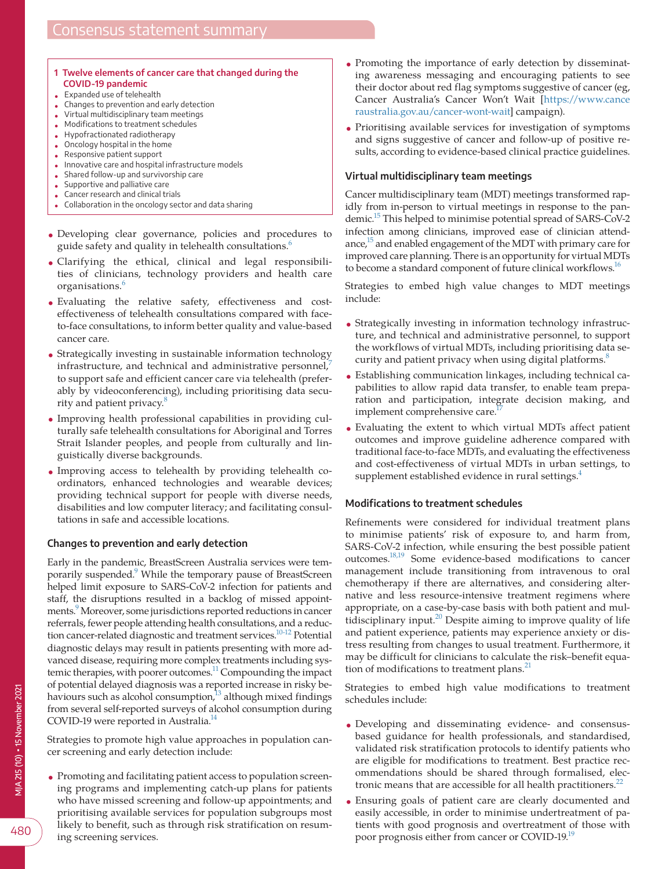#### <span id="page-1-0"></span>**1 Twelve elements of cancer care that changed during the COVID-19 pandemic**

- Expanded use of telehealth
- Changes to prevention and early detection
- Virtual multidisciplinary team meetings
- Modifications to treatment schedules
- Hypofractionated radiotherapy
- Oncology hospital in the home • Responsive patient support
- 
- Innovative care and hospital infrastructure models • Shared follow-up and survivorship care
- Supportive and palliative care
- Cancer research and clinical trials
- Collaboration in the oncology sector and data sharing
- Developing clear governance, policies and procedures to guide safety and quality in telehealth consultations.<sup>[6](#page-4-5)</sup>
- Clarifying the ethical, clinical and legal responsibilities of clinicians, technology providers and health care organisations.<sup>[6](#page-4-5)</sup>
- Evaluating the relative safety, effectiveness and costeffectiveness of telehealth consultations compared with faceto-face consultations, to inform better quality and value-based cancer care.
- Strategically investing in sustainable information technology infrastructure, and technical and administrative personnel, $\frac{7}{2}$  $\frac{7}{2}$  $\frac{7}{2}$ to support safe and efficient cancer care via telehealth (preferably by videoconferencing), including prioritising data secu-rity and patient privacy.<sup>[8](#page-4-7)</sup>
- Improving health professional capabilities in providing culturally safe telehealth consultations for Aboriginal and Torres Strait Islander peoples, and people from culturally and linguistically diverse backgrounds.
- Improving access to telehealth by providing telehealth coordinators, enhanced technologies and wearable devices; providing technical support for people with diverse needs, disabilities and low computer literacy; and facilitating consultations in safe and accessible locations.

## **Changes to prevention and early detection**

Early in the pandemic, BreastScreen Australia services were temporarily suspended.<sup>9</sup> While the temporary pause of BreastScreen helped limit exposure to SARS-CoV-2 infection for patients and staff, the disruptions resulted in a backlog of missed appointments.<sup>9</sup> Moreover, some jurisdictions reported reductions in cancer referrals, fewer people attending health consultations, and a reduction cancer-related diagnostic and treatment services.<sup>10-12</sup> Potential diagnostic delays may result in patients presenting with more advanced disease, requiring more complex treatments including systemic therapies, with poorer outcomes.<sup>11</sup> Compounding the impact of potential delayed diagnosis was a reported increase in risky behaviours such as alcohol consumption, $13$  although mixed findings from several self-reported surveys of alcohol consumption during COVID-19 were reported in Australia.<sup>14</sup>

Strategies to promote high value approaches in population cancer screening and early detection include:

• Promoting and facilitating patient access to population screening programs and implementing catch-up plans for patients who have missed screening and follow-up appointments; and prioritising available services for population subgroups most likely to benefit, such as through risk stratification on resuming screening services.

- Promoting the importance of early detection by disseminating awareness messaging and encouraging patients to see their doctor about red flag symptoms suggestive of cancer (eg, Cancer Australia's Cancer Won't Wait [\[https://www.cance](https://www.canceraustralia.gov.au/cancer-wont-wait) [raustralia.gov.au/cancer-wont-wait\]](https://www.canceraustralia.gov.au/cancer-wont-wait) campaign).
- Prioritising available services for investigation of symptoms and signs suggestive of cancer and follow-up of positive results, according to evidence-based clinical practice guidelines.

#### **Virtual multidisciplinary team meetings**

Cancer multidisciplinary team (MDT) meetings transformed rapidly from in-person to virtual meetings in response to the pandemic[.15](#page-4-13) This helped to minimise potential spread of SARS-CoV-2 infection among clinicians, improved ease of clinician attendance, $15$  and enabled engagement of the MDT with primary care for improved care planning. There is an opportunity for virtual MDTs to become a standard component of future clinical workflows.<sup>16</sup>

Strategies to embed high value changes to MDT meetings include:

- Strategically investing in information technology infrastructure, and technical and administrative personnel, to support the workflows of virtual MDTs, including prioritising data security and patient privacy when using digital platforms.<sup>8</sup>
- Establishing communication linkages, including technical capabilities to allow rapid data transfer, to enable team preparation and participation, integrate decision making, and implement comprehensive care.<sup>1</sup>
- Evaluating the extent to which virtual MDTs affect patient outcomes and improve guideline adherence compared with traditional face-to-face MDTs, and evaluating the effectiveness and cost-effectiveness of virtual MDTs in urban settings, to supplement established evidence in rural settings.<sup>4</sup>

## **Modifications to treatment schedules**

Refinements were considered for individual treatment plans to minimise patients' risk of exposure to, and harm from, SARS-CoV-2 infection, while ensuring the best possible patient outcomes.[18,19](#page-4-16) Some evidence-based modifications to cancer management include transitioning from intravenous to oral chemotherapy if there are alternatives, and considering alternative and less resource-intensive treatment regimens where appropriate, on a case-by-case basis with both patient and multidisciplinary input.[20](#page-4-17) Despite aiming to improve quality of life and patient experience, patients may experience anxiety or distress resulting from changes to usual treatment. Furthermore, it may be difficult for clinicians to calculate the risk–benefit equation of modifications to treatment plans. $^{21}$  $^{21}$  $^{21}$ 

Strategies to embed high value modifications to treatment schedules include:

- Developing and disseminating evidence- and consensusbased guidance for health professionals, and standardised, validated risk stratification protocols to identify patients who are eligible for modifications to treatment. Best practice recommendations should be shared through formalised, electronic means that are accessible for all health practitioners. $^{22}$  $^{22}$  $^{22}$
- Ensuring goals of patient care are clearly documented and easily accessible, in order to minimise undertreatment of patients with good prognosis and overtreatment of those with poor prognosis either from cancer or COVID-19[.19](#page-4-20)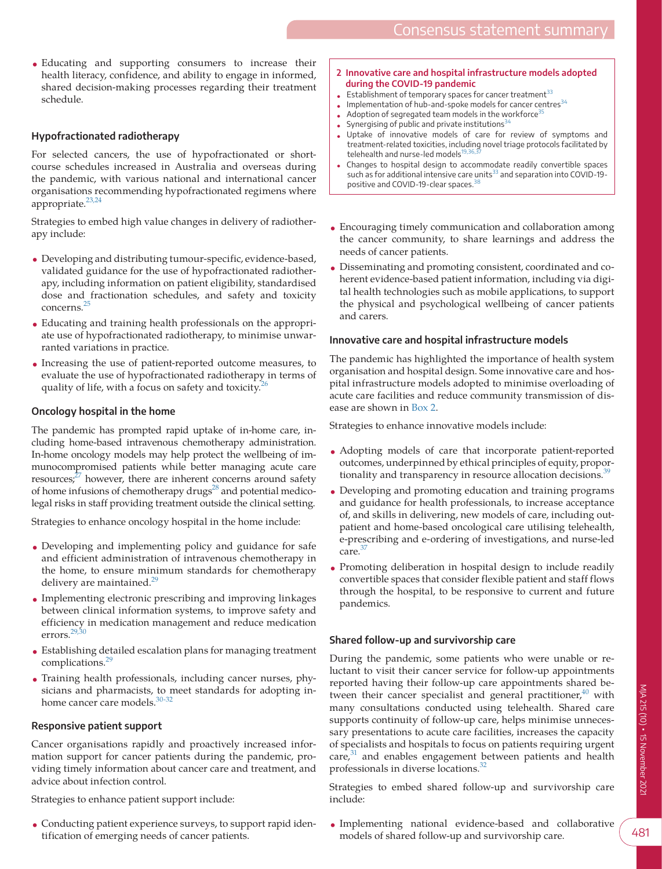• Educating and supporting consumers to increase their health literacy, confidence, and ability to engage in informed, shared decision-making processes regarding their treatment schedule.

## **Hypofractionated radiotherapy**

For selected cancers, the use of hypofractionated or shortcourse schedules increased in Australia and overseas during the pandemic, with various national and international cancer organisations recommending hypofractionated regimens where appropriate.<sup>[23,24](#page-4-21)</sup>

Strategies to embed high value changes in delivery of radiotherapy include:

- Developing and distributing tumour-specific, evidence-based, validated guidance for the use of hypofractionated radiotherapy, including information on patient eligibility, standardised dose and fractionation schedules, and safety and toxicity concerns.[25](#page-4-22)
- Educating and training health professionals on the appropriate use of hypofractionated radiotherapy, to minimise unwarranted variations in practice.
- Increasing the use of patient-reported outcome measures, to evaluate the use of hypofractionated radiotherapy in terms of quality of life, with a focus on safety and toxicity.<sup>2</sup>

#### **Oncology hospital in the home**

The pandemic has prompted rapid uptake of in-home care, including home-based intravenous chemotherapy administration. In-home oncology models may help protect the wellbeing of immunocompromised patients while better managing acute care resources; $^{27}$  however, there are inherent concerns around safety of home infusions of chemotherapy drugs<sup>28</sup> and potential medicolegal risks in staff providing treatment outside the clinical setting.

Strategies to enhance oncology hospital in the home include:

- Developing and implementing policy and guidance for safe and efficient administration of intravenous chemotherapy in the home, to ensure minimum standards for chemotherapy delivery are maintained.<sup>[29](#page-4-26)</sup>
- Implementing electronic prescribing and improving linkages between clinical information systems, to improve safety and efficiency in medication management and reduce medication errors.[29,30](#page-4-26)
- Establishing detailed escalation plans for managing treatment complications.<sup>[29](#page-4-26)</sup>
- Training health professionals, including cancer nurses, physicians and pharmacists, to meet standards for adopting in-home cancer care models.<sup>[30-32](#page-4-27)</sup>

#### **Responsive patient support**

Cancer organisations rapidly and proactively increased information support for cancer patients during the pandemic, providing timely information about cancer care and treatment, and advice about infection control.

Strategies to enhance patient support include:

• Conducting patient experience surveys, to support rapid identification of emerging needs of cancer patients.

- <span id="page-2-0"></span>**2 Innovative care and hospital infrastructure models adopted during the COVID-19 pandemic**
- Establishment of temporary spaces for cancer treatment $33$
- $\bullet$  Implementation of hub-and-spoke models for cancer centres<sup>[34](#page-4-32)</sup>
- Adoption of segregated team models in the workforce $35$
- Synergising of public and private institutions  $34$
- Uptake of innovative models of care for review of symptoms and treatment-related toxicities, including novel triage protocols facilitated by telehealth and nurse-led models $^{19,36,3}$
- Changes to hospital design to accommodate readily convertible spaces such as for additional intensive care units<sup>[33](#page-4-31)</sup> and separation into COVID-19-positive and COVID-19-clear spaces.<sup>[38](#page-4-34)</sup>
- Encouraging timely communication and collaboration among the cancer community, to share learnings and address the needs of cancer patients.
- Disseminating and promoting consistent, coordinated and coherent evidence-based patient information, including via digital health technologies such as mobile applications, to support the physical and psychological wellbeing of cancer patients and carers.

## **Innovative care and hospital infrastructure models**

The pandemic has highlighted the importance of health system organisation and hospital design. Some innovative care and hospital infrastructure models adopted to minimise overloading of acute care facilities and reduce community transmission of disease are shown in [Box 2.](#page-2-0)

Strategies to enhance innovative models include:

- Adopting models of care that incorporate patient-reported outcomes, underpinned by ethical principles of equity, proportionality and transparency in resource allocation decisions.<sup>3</sup>
- Developing and promoting education and training programs and guidance for health professionals, to increase acceptance of, and skills in delivering, new models of care, including outpatient and home-based oncological care utilising telehealth, e-prescribing and e-ordering of investigations, and nurse-led care.<sup>3</sup>
- Promoting deliberation in hospital design to include readily convertible spaces that consider flexible patient and staff flows through the hospital, to be responsive to current and future pandemics.

## **Shared follow-up and survivorship care**

During the pandemic, some patients who were unable or reluctant to visit their cancer service for follow-up appointments reported having their follow-up care appointments shared between their cancer specialist and general practitioner, $40$  with many consultations conducted using telehealth. Shared care supports continuity of follow-up care, helps minimise unnecessary presentations to acute care facilities, increases the capacity of specialists and hospitals to focus on patients requiring urgent care,<sup>31</sup> and enables engagement between patients and health professionals in diverse locations.<sup>[32](#page-4-30)</sup>

Strategies to embed shared follow-up and survivorship care include:

• Implementing national evidence-based and collaborative models of shared follow-up and survivorship care.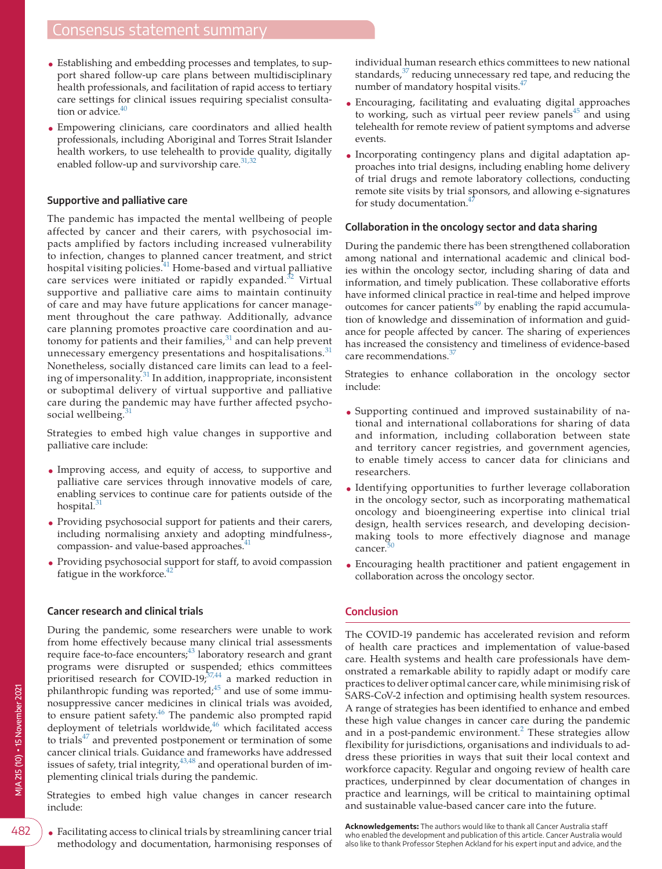- Establishing and embedding processes and templates, to support shared follow-up care plans between multidisciplinary health professionals, and facilitation of rapid access to tertiary care settings for clinical issues requiring specialist consultation or advice. $\frac{40}{10}$
- Empowering clinicians, care coordinators and allied health professionals, including Aboriginal and Torres Strait Islander health workers, to use telehealth to provide quality, digitally enabled follow-up and survivorship care. $31,32$

#### **Supportive and palliative care**

The pandemic has impacted the mental wellbeing of people affected by cancer and their carers, with psychosocial impacts amplified by factors including increased vulnerability to infection, changes to planned cancer treatment, and strict hospital visiting policies.<sup>[41](#page-5-2)</sup> Home-based and virtual palliative care services were initiated or rapidly expanded. $32$  Virtual supportive and palliative care aims to maintain continuity of care and may have future applications for cancer management throughout the care pathway. Additionally, advance care planning promotes proactive care coordination and autonomy for patients and their families, $31$  and can help prevent unnecessary emergency presentations and hospitalisations.<sup>[31](#page-4-29)</sup> Nonetheless, socially distanced care limits can lead to a feeling of impersonality. $31$  In addition, inappropriate, inconsistent or suboptimal delivery of virtual supportive and palliative care during the pandemic may have further affected psycho-social wellbeing.<sup>[31](#page-4-29)</sup>

Strategies to embed high value changes in supportive and palliative care include:

- Improving access, and equity of access, to supportive and palliative care services through innovative models of care, enabling services to continue care for patients outside of the hospital. $31$
- Providing psychosocial support for patients and their carers, including normalising anxiety and adopting mindfulness-, compassion- and value-based approaches.<sup>[41](#page-5-2)</sup>
- Providing psychosocial support for staff, to avoid compassion fatigue in the workforce.<sup>4</sup>

#### **Cancer research and clinical trials**

During the pandemic, some researchers were unable to work from home effectively because many clinical trial assessments require face-to-face encounters;<sup>[43](#page-5-4)</sup> laboratory research and grant programs were disrupted or suspended; ethics committees prioritised research for COVID-19;<sup>[37,44](#page-4-28)</sup> a marked reduction in philanthropic funding was reported; $45$  and use of some immunosuppressive cancer medicines in clinical trials was avoided, to ensure patient safety.<sup>46</sup> The pandemic also prompted rapid deployment of teletrials worldwide, $46$  which facilitated access to trials $47$  and prevented postponement or termination of some cancer clinical trials. Guidance and frameworks have addressed issues of safety, trial integrity, $43,48$  and operational burden of implementing clinical trials during the pandemic.

Strategies to embed high value changes in cancer research include:

• Facilitating access to clinical trials by streamlining cancer trial methodology and documentation, harmonising responses of individual human research ethics committees to new national standards, $37$  reducing unnecessary red tape, and reducing the number of mandatory hospital visits.<sup>47</sup>

- Encouraging, facilitating and evaluating digital approaches to working, such as virtual peer review panels $45$  and using telehealth for remote review of patient symptoms and adverse events.
- Incorporating contingency plans and digital adaptation approaches into trial designs, including enabling home delivery of trial drugs and remote laboratory collections, conducting remote site visits by trial sponsors, and allowing e-signatures for study documentation.

#### **Collaboration in the oncology sector and data sharing**

During the pandemic there has been strengthened collaboration among national and international academic and clinical bodies within the oncology sector, including sharing of data and information, and timely publication. These collaborative efforts have informed clinical practice in real-time and helped improve outcomes for cancer patients $49$  by enabling the rapid accumulation of knowledge and dissemination of information and guidance for people affected by cancer. The sharing of experiences has increased the consistency and timeliness of evidence-based care recommendations.<sup>3</sup>

Strategies to enhance collaboration in the oncology sector include:

- Supporting continued and improved sustainability of national and international collaborations for sharing of data and information, including collaboration between state and territory cancer registries, and government agencies, to enable timely access to cancer data for clinicians and researchers.
- Identifying opportunities to further leverage collaboration in the oncology sector, such as incorporating mathematical oncology and bioengineering expertise into clinical trial design, health services research, and developing decisionmaking tools to more effectively diagnose and manage cancer
- Encouraging health practitioner and patient engagement in collaboration across the oncology sector.

#### **Conclusion**

The COVID-19 pandemic has accelerated revision and reform of health care practices and implementation of value-based care. Health systems and health care professionals have demonstrated a remarkable ability to rapidly adapt or modify care practices to deliver optimal cancer care, while minimising risk of SARS-CoV-2 infection and optimising health system resources. A range of strategies has been identified to enhance and embed these high value changes in cancer care during the pandemic and in a post-pandemic environment.<sup>[2](#page-4-1)</sup> These strategies allow flexibility for jurisdictions, organisations and individuals to address these priorities in ways that suit their local context and workforce capacity. Regular and ongoing review of health care practices, underpinned by clear documentation of changes in practice and learnings, will be critical to maintaining optimal and sustainable value-based cancer care into the future.

**Acknowledgements:** The authors would like to thank all Cancer Australia staff who enabled the development and publication of this article. Cancer Australia would also like to thank Professor Stephen Ackland for his expert input and advice, and the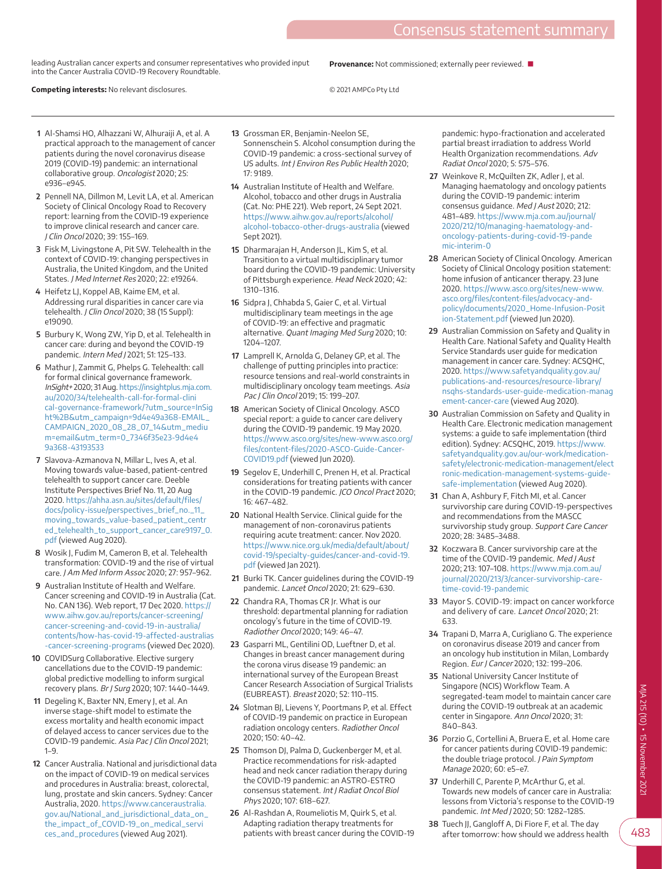leading Australian cancer experts and consumer representatives who provided input into the Cancer Australia COVID-19 Recovery Roundtable.

**Competing interests:** No relevant disclosures.

**Provenance:** Not commissioned; externally peer reviewed. ■

© 2021 AMPCo Pty Ltd

- <span id="page-4-0"></span>**1** Al-Shamsi HO, Alhazzani W, Alhuraiji A, et al. A practical approach to the management of cancer patients during the novel coronavirus disease 2019 (COVID-19) pandemic: an international collaborative group. Oncologist 2020; 25: e936–e945.
- <span id="page-4-1"></span>**2** Pennell NA, Dillmon M, Levit LA, et al. American Society of Clinical Oncology Road to Recovery report: learning from the COVID-19 experience to improve clinical research and cancer care. J Clin Oncol 2020; 39: 155–169.
- <span id="page-4-2"></span>**3** Fisk M, Livingstone A, Pit SW. Telehealth in the context of COVID-19: changing perspectives in Australia, the United Kingdom, and the United States. J Med Internet Res 2020; 22: e19264.
- <span id="page-4-3"></span>**4** Heifetz LJ, Koppel AB, Kaime EM, et al. Addressing rural disparities in cancer care via telehealth. J Clin Oncol 2020; 38 (15 Suppl): e19090.
- <span id="page-4-4"></span>**5** Burbury K, Wong ZW, Yip D, et al. Telehealth in cancer care: during and beyond the COVID-19 pandemic. Intern Med J 2021; 51: 125–133.
- <span id="page-4-5"></span>**6** Mathur J, Zammit G, Phelps G. Telehealth: call for formal clinical governance framework. InSight+ 2020; 31 Aug. [https://insightplus.mja.com.](https://insightplus.mja.com.au/2020/34/telehealth-call-for-formal-clinical-governance-framework/?utm_source=InSight%2B&utm_campaign=9d4e49a368-EMAIL_CAMPAIGN_2020_08_28_07_14&utm_medium=email&utm_term=0_7346f35e23-9d4e49a368-43193533) [au/2020/34/telehealth-call-for-formal-clini](https://insightplus.mja.com.au/2020/34/telehealth-call-for-formal-clinical-governance-framework/?utm_source=InSight%2B&utm_campaign=9d4e49a368-EMAIL_CAMPAIGN_2020_08_28_07_14&utm_medium=email&utm_term=0_7346f35e23-9d4e49a368-43193533) [cal-governance-framework/?utm\\_source=InSig](https://insightplus.mja.com.au/2020/34/telehealth-call-for-formal-clinical-governance-framework/?utm_source=InSight%2B&utm_campaign=9d4e49a368-EMAIL_CAMPAIGN_2020_08_28_07_14&utm_medium=email&utm_term=0_7346f35e23-9d4e49a368-43193533) [ht%2B&utm\\_campaign=9d4e49a368-EMAIL\\_](https://insightplus.mja.com.au/2020/34/telehealth-call-for-formal-clinical-governance-framework/?utm_source=InSight%2B&utm_campaign=9d4e49a368-EMAIL_CAMPAIGN_2020_08_28_07_14&utm_medium=email&utm_term=0_7346f35e23-9d4e49a368-43193533) [CAMPAIGN\\_2020\\_08\\_28\\_07\\_14&utm\\_mediu](https://insightplus.mja.com.au/2020/34/telehealth-call-for-formal-clinical-governance-framework/?utm_source=InSight%2B&utm_campaign=9d4e49a368-EMAIL_CAMPAIGN_2020_08_28_07_14&utm_medium=email&utm_term=0_7346f35e23-9d4e49a368-43193533) [m=email&utm\\_term=0\\_7346f35e23-9d4e4](https://insightplus.mja.com.au/2020/34/telehealth-call-for-formal-clinical-governance-framework/?utm_source=InSight%2B&utm_campaign=9d4e49a368-EMAIL_CAMPAIGN_2020_08_28_07_14&utm_medium=email&utm_term=0_7346f35e23-9d4e49a368-43193533) [9a368-43193533](https://insightplus.mja.com.au/2020/34/telehealth-call-for-formal-clinical-governance-framework/?utm_source=InSight%2B&utm_campaign=9d4e49a368-EMAIL_CAMPAIGN_2020_08_28_07_14&utm_medium=email&utm_term=0_7346f35e23-9d4e49a368-43193533)
- <span id="page-4-6"></span>**7** Slavova-Azmanova N, Millar L, Ives A, et al. Moving towards value-based, patient-centred telehealth to support cancer care. Deeble Institute Perspectives Brief No. 11, 20 Aug 2020. [https://ahha.asn.au/sites/default/files/](https://ahha.asn.au/sites/default/files/docs/policy-issue/perspectives_brief_no._11_moving_towards_value-based_patient_centred_telehealth_to_support_cancer_care9197_0.pdf) [docs/policy-issue/perspectives\\_brief\\_no.\\_11\\_](https://ahha.asn.au/sites/default/files/docs/policy-issue/perspectives_brief_no._11_moving_towards_value-based_patient_centred_telehealth_to_support_cancer_care9197_0.pdf) [moving\\_towards\\_value-based\\_patient\\_centr](https://ahha.asn.au/sites/default/files/docs/policy-issue/perspectives_brief_no._11_moving_towards_value-based_patient_centred_telehealth_to_support_cancer_care9197_0.pdf) [ed\\_telehealth\\_to\\_support\\_cancer\\_care9197\\_0.](https://ahha.asn.au/sites/default/files/docs/policy-issue/perspectives_brief_no._11_moving_towards_value-based_patient_centred_telehealth_to_support_cancer_care9197_0.pdf) [pdf](https://ahha.asn.au/sites/default/files/docs/policy-issue/perspectives_brief_no._11_moving_towards_value-based_patient_centred_telehealth_to_support_cancer_care9197_0.pdf) (viewed Aug 2020).
- <span id="page-4-7"></span>**8** Wosik J, Fudim M, Cameron B, et al. Telehealth transformation: COVID-19 and the rise of virtual care. J Am Med Inform Assoc 2020; 27: 957–962.
- <span id="page-4-8"></span>**9** Australian Institute of Health and Welfare. Cancer screening and COVID-19 in Australia (Cat. No. CAN 136). Web report, 17 Dec 2020. [https://](https://www.aihw.gov.au/reports/cancer-screening/cancer-screening-and-covid-19-in-australia/contents/how-has-covid-19-affected-australias-cancer-screening-programs) [www.aihw.gov.au/reports/cancer-screening/](https://www.aihw.gov.au/reports/cancer-screening/cancer-screening-and-covid-19-in-australia/contents/how-has-covid-19-affected-australias-cancer-screening-programs) [cancer-screening-and-covid-19-in-australia/](https://www.aihw.gov.au/reports/cancer-screening/cancer-screening-and-covid-19-in-australia/contents/how-has-covid-19-affected-australias-cancer-screening-programs) [contents/how-has-covid-19-affected-australias](https://www.aihw.gov.au/reports/cancer-screening/cancer-screening-and-covid-19-in-australia/contents/how-has-covid-19-affected-australias-cancer-screening-programs) [-cancer-screening-programs](https://www.aihw.gov.au/reports/cancer-screening/cancer-screening-and-covid-19-in-australia/contents/how-has-covid-19-affected-australias-cancer-screening-programs) (viewed Dec 2020).
- <span id="page-4-9"></span>**10** COVIDSurg Collaborative. Elective surgery cancellations due to the COVID-19 pandemic: global predictive modelling to inform surgical recovery plans. Br J Surg 2020; 107: 1440–1449.
- <span id="page-4-10"></span>**11** Degeling K, Baxter NN, Emery J, et al. An inverse stage-shift model to estimate the excess mortality and health economic impact of delayed access to cancer services due to the COVID-19 pandemic. Asia Pac J Clin Oncol 2021; 1–9.
- **12** Cancer Australia. National and jurisdictional data on the impact of COVID-19 on medical services and procedures in Australia: breast, colorectal, lung, prostate and skin cancers. Sydney: Cancer Australia, 2020. [https://www.canceraustralia.](https://www.canceraustralia.gov.au/National_and_jurisdictional_data_on_the_impact_of_COVID-19_on_medical_services_and_procedures) [gov.au/National\\_and\\_jurisdictional\\_data\\_on\\_](https://www.canceraustralia.gov.au/National_and_jurisdictional_data_on_the_impact_of_COVID-19_on_medical_services_and_procedures) [the\\_impact\\_of\\_COVID-19\\_on\\_medical\\_servi](https://www.canceraustralia.gov.au/National_and_jurisdictional_data_on_the_impact_of_COVID-19_on_medical_services_and_procedures) [ces\\_and\\_procedures](https://www.canceraustralia.gov.au/National_and_jurisdictional_data_on_the_impact_of_COVID-19_on_medical_services_and_procedures) (viewed Aug 2021).
- <span id="page-4-11"></span>**13** Grossman ER, Benjamin-Neelon SE, Sonnenschein S. Alcohol consumption during the COVID-19 pandemic: a cross-sectional survey of US adults. Int J Environ Res Public Health 2020; 17: 9189.
- <span id="page-4-12"></span>**14** Australian Institute of Health and Welfare. Alcohol, tobacco and other drugs in Australia (Cat. No: PHE 221). Web report, 24 Sept 2021. [https://www.aihw.gov.au/reports/alcohol/](https://www.aihw.gov.au/reports/alcohol/alcohol-tobacco-other-drugs-australia) [alcohol-tobacco-other-drugs-australia](https://www.aihw.gov.au/reports/alcohol/alcohol-tobacco-other-drugs-australia) (viewed Sept 2021).
- <span id="page-4-13"></span>**15** Dharmarajan H, Anderson JL, Kim S, et al. Transition to a virtual multidisciplinary tumor board during the COVID-19 pandemic: University of Pittsburgh experience. Head Neck 2020; 42: 1310–1316.
- <span id="page-4-14"></span>**16** Sidpra J, Chhabda S, Gaier C, et al. Virtual multidisciplinary team meetings in the age of COVID-19: an effective and pragmatic alternative. Quant Imaging Med Surg 2020; 10: 1204–1207.
- <span id="page-4-15"></span>**17** Lamprell K, Arnolda G, Delaney GP, et al. The challenge of putting principles into practice: resource tensions and real-world constraints in multidisciplinary oncology team meetings. Asia Pac J Clin Oncol 2019; 15: 199–207.
- <span id="page-4-16"></span>**18** American Society of Clinical Oncology. ASCO special report: a guide to cancer care delivery during the COVID-19 pandemic. 19 May 2020. [https://www.asco.org/sites/new-www.asco.org/](https://www.asco.org/sites/new-www.asco.org/files/content-files/2020-ASCO-Guide-Cancer-COVID19.pdf) [files/content-files/2020-ASCO-Guide-Cancer-](https://www.asco.org/sites/new-www.asco.org/files/content-files/2020-ASCO-Guide-Cancer-COVID19.pdf)[COVID19.pdf](https://www.asco.org/sites/new-www.asco.org/files/content-files/2020-ASCO-Guide-Cancer-COVID19.pdf) (viewed Jun 2020).
- <span id="page-4-20"></span>**19** Segelov E, Underhill C, Prenen H, et al. Practical considerations for treating patients with cancer in the COVID-19 pandemic. JCO Oncol Pract 2020; 16: 467–482.
- <span id="page-4-17"></span>**20** National Health Service. Clinical guide for the management of non-coronavirus patients requiring acute treatment: cancer. Nov 2020. [https://www.nice.org.uk/media/default/about/](https://www.nice.org.uk/media/default/about/covid-19/specialty-guides/cancer-and-covid-19.pdf) [covid-19/specialty-guides/cancer-and-covid-19.](https://www.nice.org.uk/media/default/about/covid-19/specialty-guides/cancer-and-covid-19.pdf) [pdf](https://www.nice.org.uk/media/default/about/covid-19/specialty-guides/cancer-and-covid-19.pdf) (viewed Jan 2021).
- <span id="page-4-18"></span>**21** Burki TK. Cancer guidelines during the COVID-19 pandemic. Lancet Oncol 2020; 21: 629–630.
- <span id="page-4-19"></span>**22** Chandra RA, Thomas CR Jr. What is our threshold: departmental planning for radiation oncology's future in the time of COVID-19. Radiother Oncol 2020; 149: 46–47.
- <span id="page-4-21"></span>**23** Gasparri ML, Gentilini OD, Lueftner D, et al. Changes in breast cancer management during the corona virus disease 19 pandemic: an international survey of the European Breast Cancer Research Association of Surgical Trialists (EUBREAST). Breast 2020; 52: 110–115.
- **24** Slotman BJ, Lievens Y, Poortmans P, et al. Effect of COVID-19 pandemic on practice in European radiation oncology centers. Radiother Oncol 2020; 150: 40–42.
- <span id="page-4-22"></span>**25** Thomson DJ, Palma D, Guckenberger M, et al. Practice recommendations for risk-adapted head and neck cancer radiation therapy during the COVID-19 pandemic: an ASTRO-ESTRO consensus statement. Int J Radiat Oncol Biol Phys 2020; 107: 618–627.
- <span id="page-4-23"></span>**26** Al-Rashdan A, Roumeliotis M, Quirk S, et al. Adapting radiation therapy treatments for patients with breast cancer during the COVID-19

pandemic: hypo-fractionation and accelerated partial breast irradiation to address World Health Organization recommendations. Adv Radiat Oncol 2020; 5: 575–576.

- <span id="page-4-24"></span>**27** Weinkove R, McQuilten ZK, Adler J, et al. Managing haematology and oncology patients during the COVID-19 pandemic: interim consensus guidance. Med J Aust 2020; 212: 481–489. [https://www.mja.com.au/journal/](https://www.mja.com.au/journal/2020/212/10/managing-haematology-and-oncology-patients-during-covid-19-pandemic-interim-0) [2020/212/10/managing-haematology-and](https://www.mja.com.au/journal/2020/212/10/managing-haematology-and-oncology-patients-during-covid-19-pandemic-interim-0)[oncology-patients-during-covid-19-pande](https://www.mja.com.au/journal/2020/212/10/managing-haematology-and-oncology-patients-during-covid-19-pandemic-interim-0) [mic-interim-0](https://www.mja.com.au/journal/2020/212/10/managing-haematology-and-oncology-patients-during-covid-19-pandemic-interim-0)
- <span id="page-4-25"></span>**28** American Society of Clinical Oncology. American Society of Clinical Oncology position statement: home infusion of anticancer therapy. 23 June 2020. [https://www.asco.org/sites/new-www.](https://www.asco.org/sites/new-www.asco.org/files/content-files/advocacy-and-policy/documents/2020_Home-Infusion-Position-Statement.pdf) [asco.org/files/content-files/advocacy-and](https://www.asco.org/sites/new-www.asco.org/files/content-files/advocacy-and-policy/documents/2020_Home-Infusion-Position-Statement.pdf)[policy/documents/2020\\_Home-Infusion-Posit](https://www.asco.org/sites/new-www.asco.org/files/content-files/advocacy-and-policy/documents/2020_Home-Infusion-Position-Statement.pdf) [ion-Statement.pdf](https://www.asco.org/sites/new-www.asco.org/files/content-files/advocacy-and-policy/documents/2020_Home-Infusion-Position-Statement.pdf) (viewed Jun 2020).
- <span id="page-4-26"></span>**29** Australian Commission on Safety and Quality in Health Care. National Safety and Quality Health Service Standards user quide for medication management in cancer care. Sydney: ACSQHC, 2020. [https://www.safetyandquality.gov.au/](https://www.safetyandquality.gov.au/publications-and-resources/resource-library/nsqhs-standards-user-guide-medication-management-cancer-care) [publications-and-resources/resource-library/](https://www.safetyandquality.gov.au/publications-and-resources/resource-library/nsqhs-standards-user-guide-medication-management-cancer-care) [nsqhs-standards-user-guide-medication-manag](https://www.safetyandquality.gov.au/publications-and-resources/resource-library/nsqhs-standards-user-guide-medication-management-cancer-care) [ement-cancer-care](https://www.safetyandquality.gov.au/publications-and-resources/resource-library/nsqhs-standards-user-guide-medication-management-cancer-care) (viewed Aug 2020).
- <span id="page-4-27"></span>**30** Australian Commission on Safety and Quality in Health Care. Electronic medication management systems: a guide to safe implementation (third edition). Sydney: ACSQHC, 2019. [https://www.](https://www.safetyandquality.gov.au/our-work/medication-safety/electronic-medication-management/electronic-medication-management-systems-guide-safe-implementation) [safetyandquality.gov.au/our-work/medication](https://www.safetyandquality.gov.au/our-work/medication-safety/electronic-medication-management/electronic-medication-management-systems-guide-safe-implementation)[safety/electronic-medication-management/elect](https://www.safetyandquality.gov.au/our-work/medication-safety/electronic-medication-management/electronic-medication-management-systems-guide-safe-implementation) [ronic-medication-management-systems-guide](https://www.safetyandquality.gov.au/our-work/medication-safety/electronic-medication-management/electronic-medication-management-systems-guide-safe-implementation)[safe-implementation](https://www.safetyandquality.gov.au/our-work/medication-safety/electronic-medication-management/electronic-medication-management-systems-guide-safe-implementation) (viewed Aug 2020).
- <span id="page-4-29"></span>**31** Chan A, Ashbury F, Fitch MI, et al. Cancer survivorship care during COVID-19-perspectives and recommendations from the MASCC survivorship study group. Support Care Cancer 2020; 28: 3485–3488.
- <span id="page-4-30"></span>**32** Koczwara B. Cancer survivorship care at the time of the COVID-19 pandemic. Med J Aust 2020; 213: 107–108. [https://www.mja.com.au/](https://www.mja.com.au/journal/2020/213/3/cancer-survivorship-care-time-covid-19-pandemic) [journal/2020/213/3/cancer-survivorship-care](https://www.mja.com.au/journal/2020/213/3/cancer-survivorship-care-time-covid-19-pandemic)[time-covid-19-pandemic](https://www.mja.com.au/journal/2020/213/3/cancer-survivorship-care-time-covid-19-pandemic)
- <span id="page-4-31"></span>**33** Mayor S. COVID-19: impact on cancer workforce and delivery of care. Lancet Oncol 2020; 21: 633.
- <span id="page-4-32"></span>**34** Trapani D, Marra A, Curigliano G. The experience on coronavirus disease 2019 and cancer from an oncology hub institution in Milan, Lombardy Region. Eur J Cancer 2020; 132: 199–206.
- <span id="page-4-33"></span>**35** National University Cancer Institute of Singapore (NCIS) Workflow Team. A segregated-team model to maintain cancer care during the COVID-19 outbreak at an academic center in Singapore. Ann Oncol 2020; 31: 840–843.
- **36** Porzio G, Cortellini A, Bruera E, et al. Home care for cancer patients during COVID-19 pandemic: the double triage protocol. J Pain Symptom Manage 2020; 60: e5–e7.
- <span id="page-4-28"></span>**37** Underhill C, Parente P, McArthur G, et al. Towards new models of cancer care in Australia: lessons from Victoria's response to the COVID-19 pandemic. Int Med J 2020; 50: 1282–1285.
- <span id="page-4-34"></span>**38** Tuech JJ, Gangloff A, Di Fiore F, et al. The day after tomorrow: how should we address health